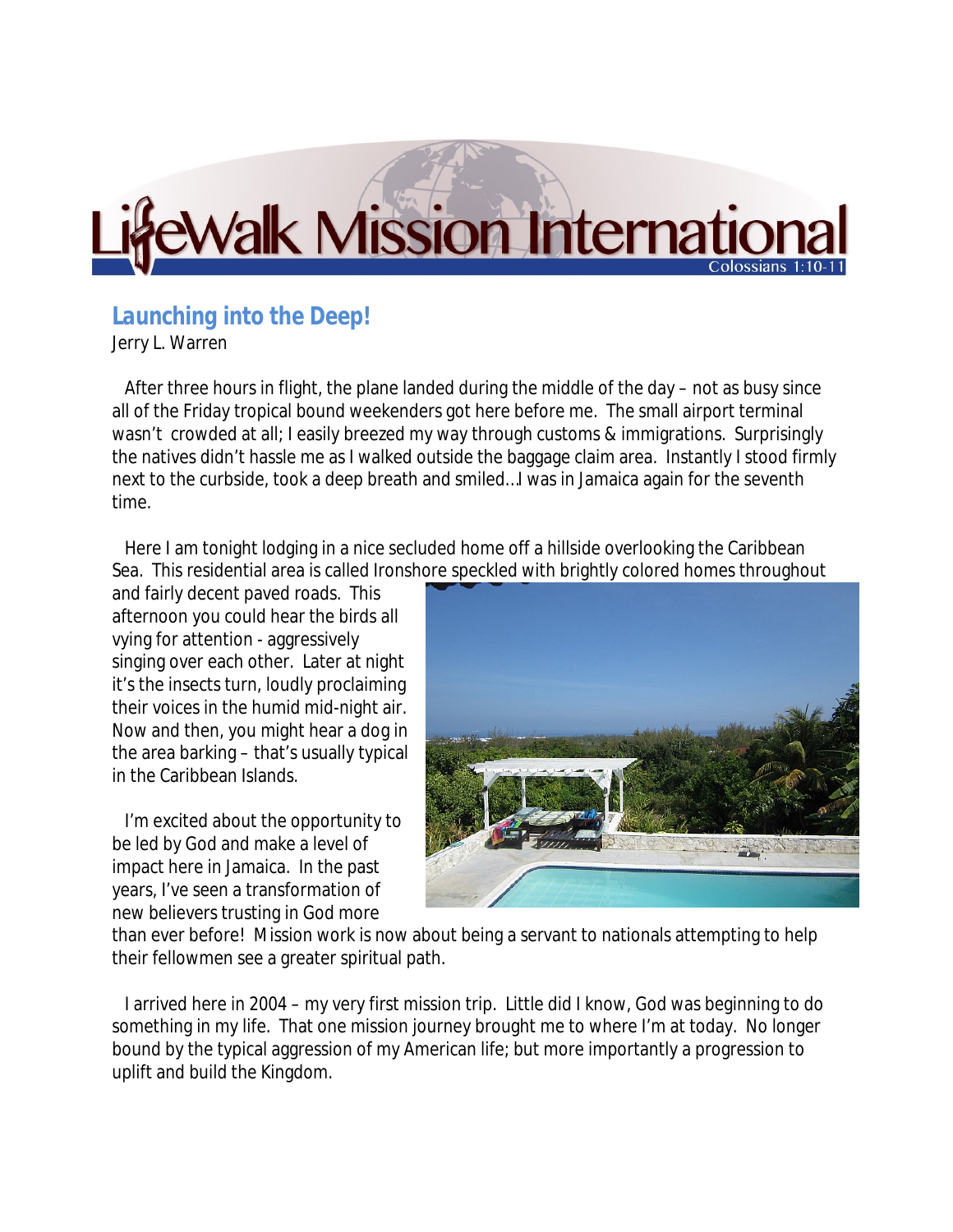## Walk Mission Internation

## *Launching into the Deep!*

Jerry L. Warren

 After three hours in flight, the plane landed during the middle of the day – not as busy since all of the Friday tropical bound weekenders got here before me. The small airport terminal wasn't crowded at all; I easily breezed my way through customs & immigrations. Surprisingly the natives didn't hassle me as I walked outside the baggage claim area. Instantly I stood firmly next to the curbside, took a deep breath and smiled…I was in Jamaica again for the seventh time.

 Here I am tonight lodging in a nice secluded home off a hillside overlooking the Caribbean Sea. This residential area is called Ironshore speckled with brightly colored homes throughout

and fairly decent paved roads. This afternoon you could hear the birds all vying for attention - aggressively singing over each other. Later at night it's the insects turn, loudly proclaiming their voices in the humid mid-night air. Now and then, you might hear a dog in the area barking – that's usually typical in the Caribbean Islands.

 I'm excited about the opportunity to be led by God and make a level of impact here in Jamaica. In the past years, I've seen a transformation of new believers trusting in God more



than ever before! Mission work is now about being a servant to nationals attempting to help their fellowmen see a greater spiritual path.

 I arrived here in 2004 – my very first mission trip. Little did I know, God was beginning to do something in my life. That one mission journey brought me to where I'm at today. No longer bound by the typical aggression of my American life; but more importantly a progression to uplift and build the Kingdom.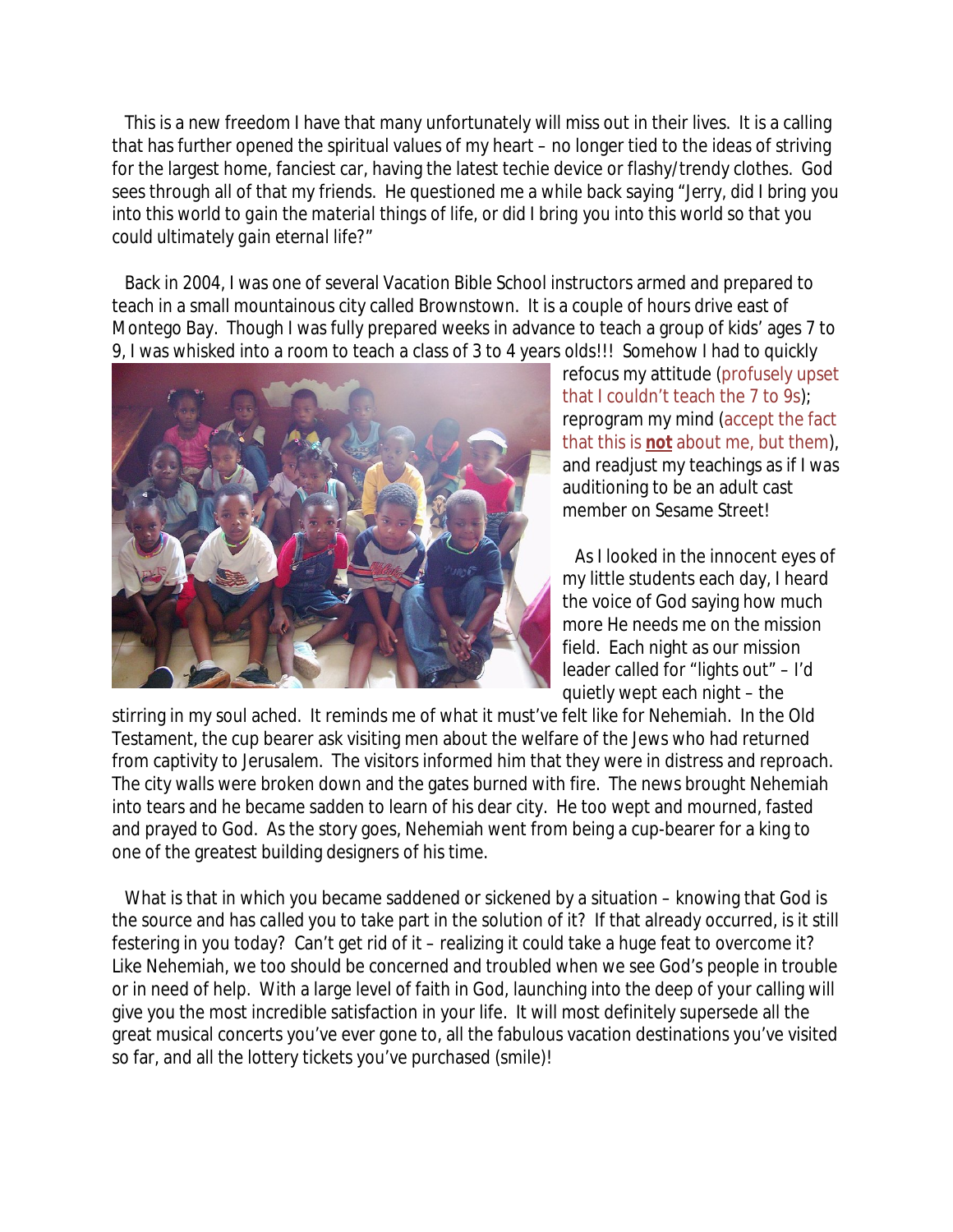This is a new freedom I have that many unfortunately will miss out in their lives. It is a calling that has further opened the spiritual values of my heart – no longer tied to the ideas of striving for the largest home, fanciest car, having the latest techie device or flashy/trendy clothes. God sees through all of that my friends. He questioned me a while back saying "*Jerry, did I bring you into this world to gain the material things of life, or did I bring you into this world so that you could ultimately gain eternal life*?"

 Back in 2004, I was one of several Vacation Bible School instructors armed and prepared to teach in a small mountainous city called Brownstown. It is a couple of hours drive east of Montego Bay. Though I was fully prepared weeks in advance to teach a group of kids' ages 7 to 9, I was whisked into a room to teach a class of 3 to 4 years olds!!! Somehow I had to quickly



refocus my attitude (profusely upset that I couldn't teach the 7 to 9s); reprogram my mind (accept the fact that this is **not** about me, but them), and readjust my teachings as if I was auditioning to be an adult cast member on Sesame Street!

 As I looked in the innocent eyes of my little students each day, I heard the voice of God saying how much more He needs me on the mission field. Each night as our mission leader called for "lights out" – I'd quietly wept each night – the

stirring in my soul ached. It reminds me of what it must've felt like for Nehemiah. In the Old Testament, the cup bearer ask visiting men about the welfare of the Jews who had returned from captivity to Jerusalem. The visitors informed him that they were in distress and reproach. The city walls were broken down and the gates burned with fire. The news brought Nehemiah into tears and he became sadden to learn of his dear city. He too wept and mourned, fasted and prayed to God. As the story goes, Nehemiah went from being a cup-bearer for a king to one of the greatest building designers of his time.

 What is that in which you became saddened or sickened by a situation – knowing that God is the source and has *called* you to take part in the solution of it? If that already occurred, is it still festering in you today? Can't get rid of it – realizing it could take a huge feat to overcome it? Like Nehemiah, we too should be concerned and troubled when we see God's people in trouble or in need of help. With a large level of faith in God, launching into the deep of your calling will give you the most incredible satisfaction in your life. It will most definitely supersede all the great musical concerts you've ever gone to, all the fabulous vacation destinations you've visited so far, and all the lottery tickets you've purchased (smile)!